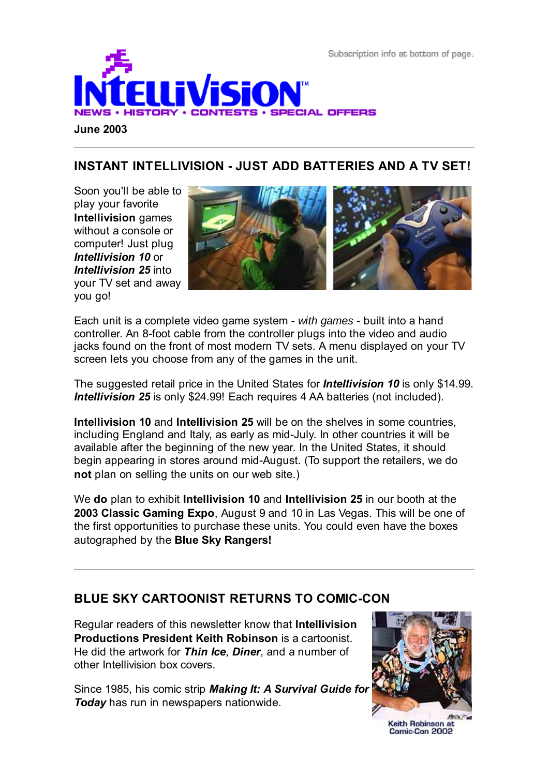Subscription info at bottom of page.



## **INSTANT INTELLIVISION - JUST ADD BATTERIES AND A TV SET!**

Soon you'll be able to play your favorite **Intellivision** games without a console or computer! Just plug *Intellivision 10* or *Intellivision 25* into your TV set and away you go!



Each unit is a complete video game system - *with games* - built into a hand controller. An 8-foot cable from the controller plugs into the video and audio jacks found on the front of most modern TV sets. A menu displayed on your TV screen lets you choose from any of the games in the unit.

The suggested retail price in the United States for *Intellivision 10* is only \$14.99. *Intellivision 25* is only \$24.99! Each requires 4 AA batteries (not included).

**Intellivision 10** and **Intellivision 25** will be on the shelves in some countries, including England and Italy, as early as mid-July. In other countries it will be available after the beginning of the new year. In the United States, it should begin appearing in stores around mid-August. (To support the retailers, we do **not** plan on selling the units on our web site.)

We **do** plan to exhibit **Intellivision 10** and **Intellivision 25** in our booth at the **2003 Classic Gaming Expo**, August 9 and 10 in Las Vegas. This will be one of the first opportunities to purchase these units. You could even have the boxes autographed by the **Blue Sky Rangers!**

## **BLUE SKY CARTOONIST RETURNS TO COMIC-CON**

Regular readers of this newsletter know that **Intellivision Productions President Keith Robinson** is a cartoonist. He did the artwork for *Thin Ice*, *Diner*, and a number of other Intellivision box covers.

Since 1985, his comic strip *Making It: A Survival Guide for Today* has run in newspapers nationwide.



Keith Robinson at Comic-Con 2002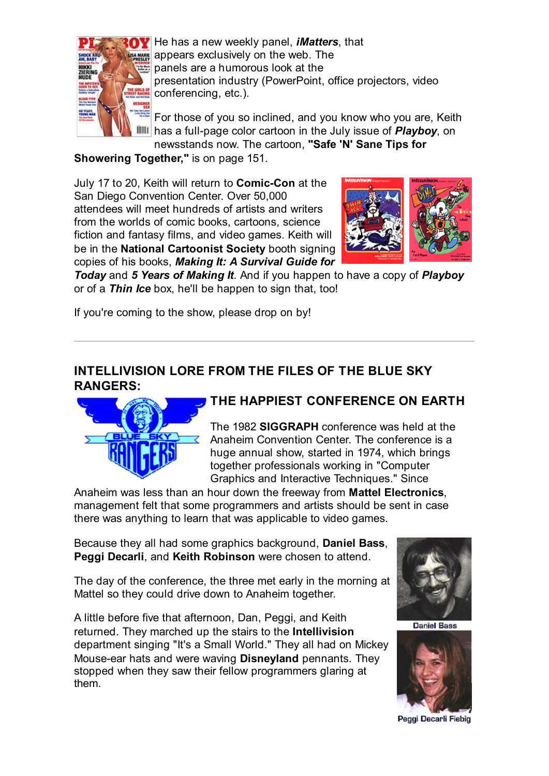

He has a new weekly panel, *iMatters*, that **EA MAREE** appears exclusively on the web. The panels are a humorous look at the presentation industry (PowerPoint, office projectors, video conferencing, etc.).

For those of you so inclined, and you know who you are, Keith has a full-page color cartoon in the July issue of *Playboy*, on newsstands now. The cartoon, **"Safe 'N' Sane Tips for**

**Showering Together,"** is on page 151.

July 17 to 20, Keith will return to **Comic-Con** at the San Diego Convention Center. Over 50,000 attendees will meet hundreds of artists and writers from the worlds of comic books, cartoons, science fiction and fantasy films, and video games. Keith will be in the **National Cartoonist Society** booth signing copies of his books, *Making It: A Survival Guide for*



*Today* and *5 Years of Making It*. And if you happen to have a copy of *Playboy* or of a *Thin Ice* box, he'll be happen to sign that, too!

If you're coming to the show, please drop on by!

#### **INTELLIVISION LORE FROM THE FILES OF THE BLUE SKY RANGERS:**



# **THE HAPPIEST CONFERENCE ON EARTH**

The 1982 **SIGGRAPH** conference was held at the Anaheim Convention Center. The conference is a huge annual show, started in 1974, which brings together professionals working in "Computer Graphics and Interactive Techniques." Since

Anaheim was less than an hour down the freeway from **Mattel Electronics**, management felt that some programmers and artists should be sent in case there was anything to learn that was applicable to video games.

Because they all had some graphics background, **Daniel Bass**, **Peggi Decarli**, and **Keith Robinson** were chosen to attend.

The day of the conference, the three met early in the morning at Mattel so they could drive down to Anaheim together.

A little before five that afternoon, Dan, Peggi, and Keith returned. They marched up the stairs to the **Intellivision** department singing "It's a Small World." They all had on Mickey Mouse-ear hats and were waving **Disneyland** pennants. They stopped when they saw their fellow programmers glaring at them.



**Daniel Bass** 



Peggi Decarli Fiebig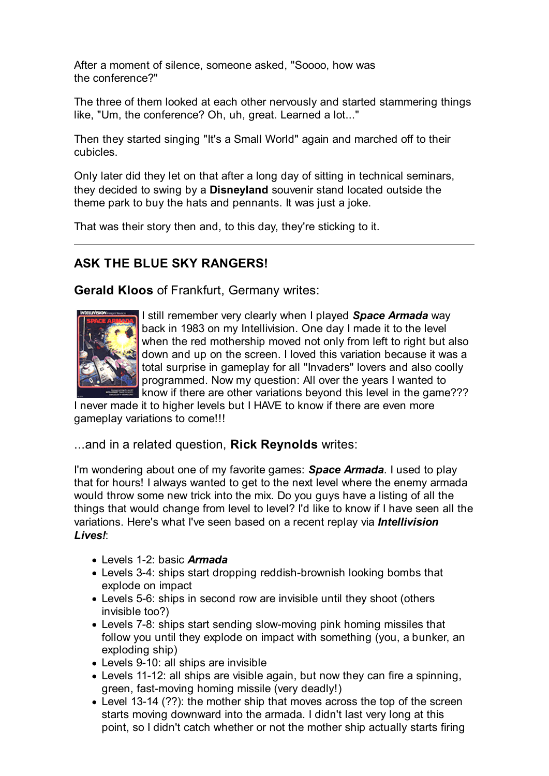After a moment of silence, someone asked, "Soooo, how was the conference?"

The three of them looked at each other nervously and started stammering things like, "Um, the conference? Oh, uh, great. Learned a lot..."

Then they started singing "It's a Small World" again and marched off to their cubicles.

Only later did they let on that after a long day of sitting in technical seminars, they decided to swing by a **Disneyland** souvenir stand located outside the theme park to buy the hats and pennants. It was just a joke.

That was their story then and, to this day, they're sticking to it.

# **ASK THE BLUE SKY RANGERS!**

**Gerald Kloos** of Frankfurt, Germany writes:



I still remember very clearly when I played *Space Armada* way back in 1983 on my Intellivision. One day I made it to the level when the red mothership moved not only from left to right but also down and up on the screen. I loved this variation because it was a total surprise in gameplay for all "Invaders" lovers and also coolly programmed. Now my question: All over the years I wanted to know if there are other variations beyond this level in the game???

I never made it to higher levels but I HAVE to know if there are even more gameplay variations to come!!!

...and in a related question, **Rick Reynolds** writes:

I'm wondering about one of my favorite games: *Space Armada*. I used to play that for hours! I always wanted to get to the next level where the enemy armada would throw some new trick into the mix. Do you guys have a listing of all the things that would change from level to level? I'd like to know if I have seen all the variations. Here's what I've seen based on a recent replay via *Intellivision Lives!*:

- Levels 1-2: basic *Armada*
- Levels 3-4: ships start dropping reddish-brownish looking bombs that explode on impact
- Levels 5-6: ships in second row are invisible until they shoot (others invisible too?)
- Levels 7-8: ships start sending slow-moving pink homing missiles that follow you until they explode on impact with something (you, a bunker, an exploding ship)
- Levels 9-10: all ships are invisible
- Levels 11-12: all ships are visible again, but now they can fire a spinning, green, fast-moving homing missile (very deadly!)
- Level 13-14 (??): the mother ship that moves across the top of the screen starts moving downward into the armada. I didn't last very long at this point, so I didn't catch whether or not the mother ship actually starts firing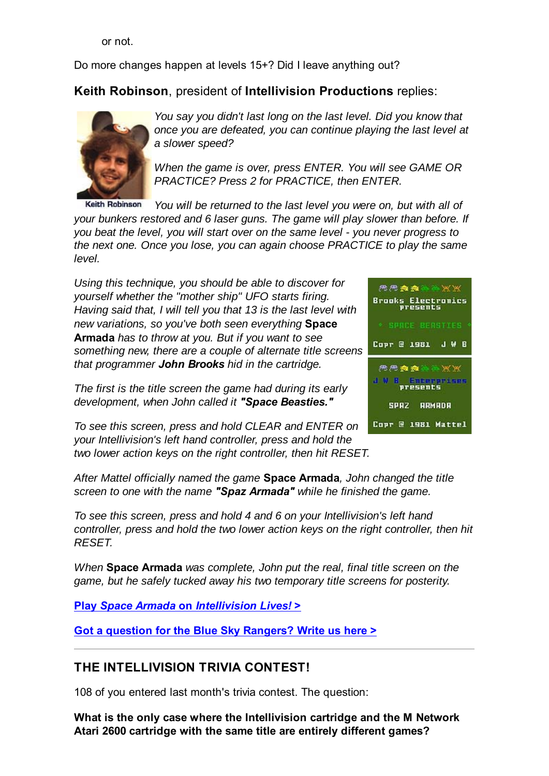or not.

Do more changes happen at levels 15+? Did I leave anything out?

## **Keith Robinson**, president of **Intellivision Productions** replies:



*You say you didn't last long on the last level. Did you know that once you are defeated, you can continue playing the last level at a slower speed?*

*When the game is over, press ENTER. You will see GAME OR PRACTICE? Press 2 for PRACTICE, then ENTER.*

**Keith Robinson** *You will be returned to the last level you were on, but with all of your bunkers restored and 6 laser guns. The game will play slower than before. If you beat the level, you will start over on the same level - you never progress to the next one. Once you lose, you can again choose PRACTICE to play the same level.*

*Using this technique, you should be able to discover for yourself whether the "mother ship" UFO starts firing. Having said that, I will tell you that 13 is the last level with new variations, so you've both seen everything* **Space Armada** *has to throw at you. But if you want to see something new, there are a couple of alternate title screens that programmer John Brooks hid in the cartridge.*

*The first is the title screen the game had during its early development, when John called it "Space Beasties."*



*To see this screen, press and hold CLEAR and ENTER on your Intellivision's left hand controller, press and hold the two lower action keys on the right controller, then hit RESET.*

*After Mattel officially named the game* **Space Armada***, John changed the title screen to one with the name "Spaz Armada" while he finished the game.*

*To see this screen, press and hold 4 and 6 on your Intellivision's left hand controller, press and hold the two lower action keys on the right controller, then hit RESET.*

*When* **Space Armada** *was complete, John put the real, final title screen on the game, but he safely tucked away his two temporary title screens for posterity.*

**Play** *Space Armada* **on** *Intellivision Lives!* **>**

**Got a question for the Blue Sky Rangers? Write us here >**

# **THE INTELLIVISION TRIVIA CONTEST!**

108 of you entered last month's trivia contest. The question:

**What is the only case where the Intellivision cartridge and the M Network Atari 2600 cartridge with the same title are entirely different games?**